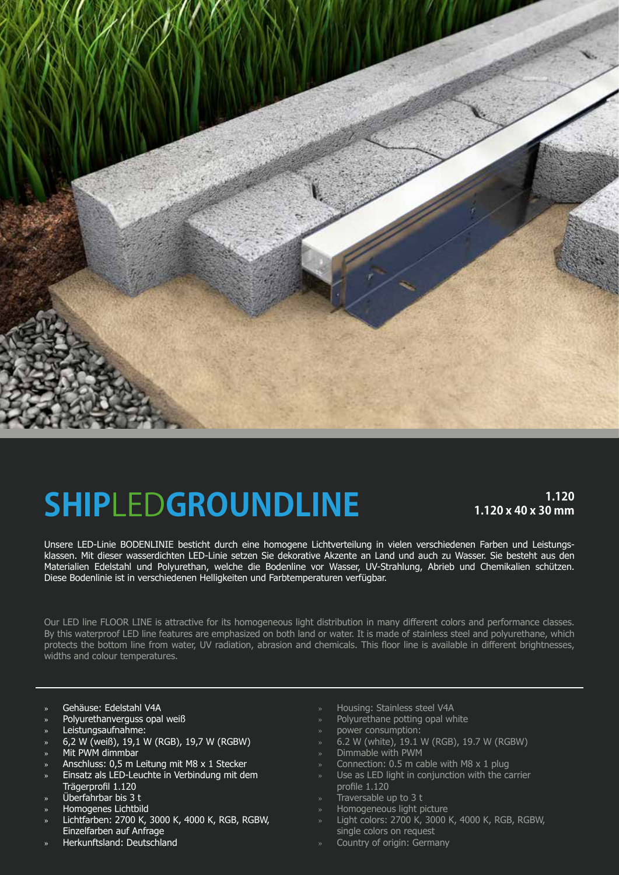

## **SHIP**LED**GROUNDLINE 1.120**

### **1.120 x 40 x 30 mm**

Unsere LED-Linie BODENLINIE besticht durch eine homogene Lichtverteilung in vielen verschiedenen Farben und Leistungsklassen. Mit dieser wasserdichten LED-Linie setzen Sie dekorative Akzente an Land und auch zu Wasser. Sie besteht aus den Materialien Edelstahl und Polyurethan, welche die Bodenline vor Wasser, UV-Strahlung, Abrieb und Chemikalien schützen. Diese Bodenlinie ist in verschiedenen Helligkeiten und Farbtemperaturen verfügbar.

Our LED line FLOOR LINE is attractive for its homogeneous light distribution in many different colors and performance classes. By this waterproof LED line features are emphasized on both land or water. It is made of stainless steel and polyurethane, which protects the bottom line from water, UV radiation, abrasion and chemicals. This floor line is available in different brightnesses, widths and colour temperatures.

- » Gehäuse: Edelstahl V4A
- Polyurethanverguss opal weiß
- » Leistungsaufnahme:
- » 6,2 W (weiß), 19,1 W (RGB), 19,7 W (RGBW)
- Mit PWM dimmbar
- » Anschluss: 0,5 m Leitung mit M8 x 1 Stecker
- » Einsatz als LED-Leuchte in Verbindung mit dem
- Trägerprofil 1.120
- » Überfahrbar bis 3 t
- » Homogenes Lichtbild
- » Lichtfarben: 2700 K, 3000 K, 4000 K, RGB, RGBW, Einzelfarben auf Anfrage
- » Herkunftsland: Deutschland
- » Housing: Stainless steel V4A
- » Polyurethane potting opal white
- » power consumption:
- » 6.2 W (white), 19.1 W (RGB), 19.7 W (RGBW)
- » Dimmable with PWM
- » Connection: 0.5 m cable with M8 x 1 plug
- Use as LED light in conjunction with the carrier profile 1.120
- » Traversable up to 3 t
- » Homogeneous light picture
- » Light colors: 2700 K, 3000 K, 4000 K, RGB, RGBW, single colors on request
- » Country of origin: Germany